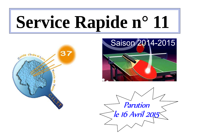# **Service Rapide n° 11**





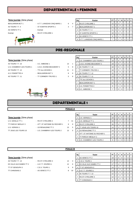# **DEPARTEMENTALE 1 FEMININE**

- 
- 
- 



- 
- 
- 
- 
- **7ème journée** *(2ème phase)* **Rg Equipe PT J V N D P F** BEAUJARDIN BCT 1 - A.T.T. LANGEAIS CINQ MARS 1 6 4 1 RS ST CYR/LOIRE 1 12 5 3 1 1 1 0 0 4S TOURS T.T. 4  $\begin{array}{ccc} -51 \ 11 \ 51 \ 21 \ 11 \end{array}$   $\begin{array}{ccc} -51 \ 11 \ 0 \end{array}$ AS VERETZ TT 1 - Exempt 3 4S TOURS T.T. 4 11 5 3 0 2 0 0 Exempt RS ST CYR/LOIRE 1 4 ST AVERTIN SPORTS 1 10 5 3 0 1 0 1 5 AS VERETZ TT 1 8 5 1 1 3 0 0 6 A.T.T. LANGEAIS CINQ MARS 1 7 5 1 0 4 0

# **PRE-REGIONALE**

### **7ème journée** (2ème phase)

4S TOURS T.T. 10 - A.C. AMBOISE 1 13 U.S. CHAMBRAY-LES-TOURS 1 - U.S.E. AVOINE-BEAUMONT 2 5 4S TOURS T.T. 12 - TTC du LOCHOIS 1 11 A.S. FONDETTES 4 - BEAUJARDIN BCT 1 8

- 
- 
- 
- 4S TOURS T.T. 11 11 TT CORMERY-TRUYES 1

|   | Rg | Equipe                     | PT | J              | ν | N | D        | Р        | F        |
|---|----|----------------------------|----|----------------|---|---|----------|----------|----------|
|   | 1  | U.S. CHAMBRAY-LES-TOURS 1  | 19 | 7              | 6 | 0 | 1        | $\Omega$ | 0        |
| 1 | -  | U.S.E. AVOINE-BEAUMONT 2   | 19 | 7              | 5 | 2 | $\Omega$ | 0        | 0        |
| 9 | 3  | 4S TOURS T.T. 10           | 18 | 7              | 5 | 1 | 1        | 0        | 0        |
| 3 | ۰  | <b>TT CORMERY-TRUYES 1</b> | 18 | 7              | 5 | 1 | 1        | 0        | $\Omega$ |
| 6 | 5  | 4S TOURS T.T. 12           | 15 | 7              | 4 | 0 | 3        | 0        | 0        |
| 9 | 6  | 4S TOURS T.T. 11           | 13 | $\overline{7}$ | 3 | O | 4        | $\Omega$ | 0        |
|   | 7  | TTC du LOCHOIS 1           | 11 | 7              | 1 | 2 | 4        | 0        | 0        |
|   | ۰  | <b>BEAUJARDIN BCT 1</b>    | 11 | 7              | 1 | 2 | 4        | 0        | 0        |
|   | 9  | A.S. FONDETTES 4           | 9  | 7              | 1 | 0 | 6        | $\Omega$ | 0        |
|   | 10 | A.C. AMBOISE 1             | 7  |                | ∩ | O |          | O        | o        |



# **DEPARTEMENTALE 1**

### **POULE A**

### **7ème journée** (2ème phase)

- U.S. GENILLE TT 1 RS ST CYR/LOIRE 2 7 11 TT PARCAY MESLAY 2 - ATT .ST ANTOINE DU ROCHER 1 9 9 U.S. VERNOU 1 **In the US RENAUDINE TT 2** 13 5
- TT JOUE LES TOURS 10 U.S. CHAMBRAY-LES-TOURS 2 13 5

| Rg | Equipe                      | PT |   | ٧              | N              | D              | P | F |
|----|-----------------------------|----|---|----------------|----------------|----------------|---|---|
|    | U.S. VERNOU 1               | 19 | 7 | 6              | $\Omega$       |                | ი | O |
| 2  | U.S. GENILLE TT 1           | 16 | 7 | 4              | 1              | 2              | ი | O |
| 3  | <b>RS ST CYR/LOIRE 2</b>    | 16 | 7 | 4              |                | $\overline{2}$ | 0 |   |
| 4  | TT JOUE LES TOURS 10        | 14 | 7 | 3              |                | 3              | O |   |
| 5  | US RENAUDINE TT 2           | 13 | 7 | 3              | 0              | 4              | O | O |
| 6  | ATT .ST ANTOINE DU ROCHER 1 | 13 | 7 | 2              | $\overline{2}$ | 3              | ი | O |
| 7  | <b>TT PARCAY MESLAY 2</b>   | 12 | 7 | $\overline{2}$ |                | 4              | O |   |
| 8  | U.S. CHAMBRAY-LES-TOURS 2   | 9  |   |                |                | 6              |   |   |

|                           |                     |    | <b>POULE B</b> |    |                                 |                 |   |   |   |                |                |
|---------------------------|---------------------|----|----------------|----|---------------------------------|-----------------|---|---|---|----------------|----------------|
|                           |                     |    |                | Rg | Equipe                          | PT I            | V | N | D |                | PF             |
| Tème journée (2ème phase) |                     |    |                |    | AS VERETZ TT 2                  | 19              | 6 | 0 |   |                | $0$   0        |
| 4S TOURS T.T. 13          | - RS ST CYR/LOIRE 3 | 14 | 4              |    | <b>C.E.S. TOURS 1</b>           | 17              | 4 | 2 |   |                | 0 <sup>1</sup> |
| ES VILLE AUX DAMES TT 2   | - A.S.T.T. ESVRES 1 | 12 | 6              |    | <b>IES VILLE AUX DAMES TT 2</b> | 17              | 4 | 2 |   |                | $\overline{0}$ |
| TT ST GENOUPH 3           | - C.E.S. TOURS 1    | 9  | 9              | 4  | <b>ITT ST GENOUPH 3</b>         | 14              | 3 |   | 3 | 0 <sup>0</sup> |                |
| <b>TT CHINONAIS 2</b>     | - AS VERETZ TT 2    | 8  | 10             | 5  | A.S.T.T. ESVRES 1               | 13 <sup>1</sup> | 3 | 0 | 4 |                | 0 <sup>1</sup> |
|                           |                     |    |                | 6  | 4S TOURS T.T. 13                | 12              |   | 3 | 3 |                | 0 <sup>1</sup> |
|                           |                     |    |                |    | <b>RS ST CYR/LOIRE 3</b>        | 12              | 2 |   | 4 | $0$   0        |                |
|                           |                     |    |                | 8  | <b>TT CHINONAIS 2</b>           | 8               |   |   | 6 | 0 <sup>1</sup> |                |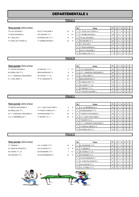### **POULE A**

### **7ème journée** (2ème phase)

- TT JOUE LES TOURS 11 TT SEMBLANCEEN 1 12
- TTC du LOCHOIS 2 RS ST CYR/LOIRE 4 13 TT BOUCHARDAIS 1 - STE MAURE TT 1 4 14 R.C. BALLAN 2 - ES RIDELLOIS TT 3 14
	-

|   | Rg | Equipe                   | РT | J              | v | N        | D | P        | F        |
|---|----|--------------------------|----|----------------|---|----------|---|----------|----------|
| 5 | 1  | TT JOUE LES TOURS 11     | 21 | 7              | 7 | $\Omega$ | 0 | 0        | $\Omega$ |
| 4 | 2  | TT SEMBLANCEEN 1         | 18 | 7              | 5 | 1        | 1 | $\Omega$ | $\Omega$ |
| 4 | 3  | TTC du LOCHOIS 2         | 17 | 7              | 5 | $\Omega$ | 2 | $\Omega$ | $\Omega$ |
| 6 | 4  | STE MAURE TT 1           | 16 | 7              | 4 | 1        | 2 | $\Omega$ | $\Omega$ |
|   | 5  | R.C. BALLAN 2            | 13 | 7              | 3 | $\Omega$ | 4 | 0        | $\Omega$ |
|   | 6  | TT BOUCHARDAIS 1         | 11 | 7              | 2 | $\Omega$ | 5 | 0        | $\Omega$ |
|   | 7  | <b>RS ST CYR/LOIRE 4</b> | 9  | $\overline{7}$ | 1 | 0        | 6 | 0        | $\Omega$ |
|   | 8  | <b>ES RIDELLOIS TT 3</b> | 7  | 7              | O | 0        | 7 | $\Omega$ | $\Omega$ |
|   |    |                          |    |                |   |          |   |          |          |

8 TT CASTELVALERIE 1 9 7 1 0 6 0 0

### **POULE B**

| 7ème journée (2ème phase)   |                    |    |                | Rg | Equipe                      | PT              |                | V | NID            | P |     |
|-----------------------------|--------------------|----|----------------|----|-----------------------------|-----------------|----------------|---|----------------|---|-----|
| <b>TT CASTELVALERIE 1</b>   | - ST MICHEL T.T. 1 |    | 11             |    | ST GENOUPH 4                | 19              | .7             | 6 |                |   |     |
| ES RIDELLOIS TT 2           | - BEAUJARDIN BCT 2 | 9  | 9              |    | A.T.T. LANGEAIS CINQ MARS 2 | 18 <sup>1</sup> |                | 5 |                |   | - 0 |
| A.T.T. LANGEAIS CINQ MARS 2 | - 4S TOURS T.T. 15 | 13 | 5              |    | P.L. PAUL BERT 1            | 18              |                | 5 |                |   | - 0 |
| P.L. PAUL BERT 1            | - TT ST GENOUPH 4  | 11 | $\overline{ }$ |    | <b>BEAUJARDIN BCT 2</b>     | 15              | 7              | 3 | 2 <sup>1</sup> |   | - 0 |
|                             |                    |    |                |    | 5 <b>ES RIDELLOIS TT 2</b>  | 12 <sup>2</sup> | $\sqrt{7}$     | 2 |                |   | - 0 |
|                             |                    |    |                | 6  | 4S TOURS T.T. 15            | 12              | $\overline{z}$ | 2 |                |   | - 0 |
|                             |                    |    |                |    | <b>ST MICHEL T.T. 1</b>     | 9               |                |   |                |   | l O |

**POULE C**

| Tème journée (2ème phase)   |                          |         | Rg | Equipe                      | PT              |                | v              | N           | D              | PIF |                  |
|-----------------------------|--------------------------|---------|----|-----------------------------|-----------------|----------------|----------------|-------------|----------------|-----|------------------|
| TT MONTS ARTANNES 4         | - A.T.T. AZAY-SUR-CHER 1 | 9<br>9  |    | C.S. LA MEMBROLLE 2         | 19              |                | 5              | 2           |                |     | $\overline{0}$   |
| ES RIDELLOIS TT 1           | - TT PARCAY MESLAY 3     | 11      |    | US RENAUDINE TT 4           | 17              |                |                | 5 0         |                |     | $\overline{1}$ 0 |
| A.T.T. LANGEAIS CINQ MARS 3 | - US RENAUDINE TT 4      | 10<br>8 | 3  | MONTS ARTANNES 4            | 16 <sup>1</sup> | $\overline{7}$ | $\overline{4}$ |             |                |     | $\overline{0}$   |
| C.S. LA MEMBROLLE 2         | - TT BLERE V.C. 2        | 13<br>5 | 4  | A.T.T. AZAY-SUR-CHER 1      | 14              | 7 <sup>1</sup> | 3 <sup>1</sup> | $\Omega$    |                |     |                  |
|                             |                          |         | 5  | BLERE V.C. 2                | 13 <sup>1</sup> | $\overline{ }$ | 3              | $\mathbf 0$ | $\overline{4}$ |     | $\overline{0}$   |
|                             |                          |         | 6  | A.T.T. LANGEAIS CINQ MARS 3 | 11              |                |                | $\Omega$    |                |     | $\overline{0}$   |

### **POULE D**

| 7ème journée (2ème phase) |                     |                      | Rg | Equipe                  | PT I            | J              | $\mathsf{I}$   | N              | D   | PF             |                |
|---------------------------|---------------------|----------------------|----|-------------------------|-----------------|----------------|----------------|----------------|-----|----------------|----------------|
| T.T. BENAIS 1             | - A.S. LUYNES T.T 2 | 12<br>6              |    | <b>ES OESIENNE TT 2</b> | 21              |                |                |                | -0  | 0 <sup>1</sup> | <b>0</b>       |
| ST AVERTIN SPORTS 3       | - US LA RICHE TT 1  | 9<br>9               | 2  | T.T. BENAIS 1           | 17 <sup>1</sup> | 7 <sub>1</sub> | 5              | $\overline{0}$ | 2   | 0 <sup>1</sup> |                |
| 4S TOURS T.T. 14          | - ES OESIENNE TT 2  | $\overline{7}$<br>11 |    | 3 4S TOURS T.T. 14      | 17 <sup>1</sup> |                | 5              |                | 2   | $\overline{0}$ | <b>0</b>       |
| STE MAURE TT 2            | - AS SAVONNIERES 2  | 12<br>6              |    | 4 <b>STE MAURE TT 2</b> | 14 <sup>1</sup> | $-17$          | 3              |                | 3   | 0 <sup>0</sup> |                |
|                           |                     |                      |    | 5 AS SAVONNIERES 2      | 12 <sub>1</sub> | 7 I            | 2              |                | 4   | $\overline{0}$ | $\overline{0}$ |
|                           |                     |                      |    | 6 ST AVERTIN SPORTS 3   |                 | $12$   7       | $\overline{2}$ |                | 4   | 0 <sup>1</sup> |                |
|                           |                     |                      |    | US LA RICHE TT 1        |                 | 10 7           | $\mathbf{0}$   | -3             | 4   | $\overline{0}$ | 0              |
|                           |                     |                      |    | 8 A.S. LUYNES T.T 2     | 9               |                |                | $\overline{0}$ | - 6 | $0$ 0          |                |



7 TT PARCAY MESLAY 3

8 ES RIDELLOIS TT 1 10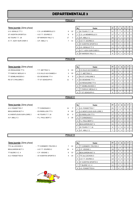### **POULE A**

### **7ème journée** (2ème phase)

- U.S. GENILLE TT 2 C.S. LA MEMBROLLE 3 6 12 ST AVERTIN SPORTS 6 - A.S.T.T. ESVRES 3 9 9 4S TOURS T.T. 18 **EP MARIGNY RILLY 1** 17 1 A.T.T. AZAY-SUR-CHER 3 - A.P. ABILLY 1 2 2 2 2 11
	-

|                | Rg | Equipe                 | PT |   | v              | N              | D              | P        | F           |
|----------------|----|------------------------|----|---|----------------|----------------|----------------|----------|-------------|
| $\overline{2}$ | 1  | 4S TOURS T.T. 18       | 21 | 7 | 7              | $\Omega$       | $\Omega$       | 0        | $\Omega$    |
| Ę              | 2  | C.S. LA MEMBROLLE 3    | 17 | 7 | $\overline{4}$ | $\overline{2}$ | 1              | $\Omega$ | $\Omega$    |
|                | 3  | A.P. ABILLY 1          | 16 | 7 | $\overline{4}$ | 1              | $\overline{2}$ | $\Omega$ | $\Omega$    |
|                | 4  | A.S.T.T. ESVRES 3      | 15 | 7 | 3              | $\overline{2}$ | $\overline{2}$ | $\Omega$ | $\Omega$    |
|                | 5  | ST AVERTIN SPORTS 6    | 13 | 7 | 3              | 1              | $\overline{2}$ | 0        | 1           |
|                | 6  | U.S. GENILLE TT 2      | 11 | 7 | $\overline{2}$ | $\Omega$       | 5              | 0        | $\Omega$    |
|                | 7  | A.T.T. AZAY-SUR-CHER 3 | 10 | 7 | 1              | 1              | 5              | 0        | $\mathbf 0$ |
|                | 8  | EP MARIGNY RILLY 1     | 8  | 7 | $\Omega$       | 1              | 6              | 0        | $\Omega$    |
|                |    |                        |    |   |                |                |                |          |             |

### **POULE B**

| 7ème journée (2ème phase) |                         |                |    | Rg | Equipe                        | PT I            | JI             | $\mathsf{v}$   | N | D | PF  |                  |
|---------------------------|-------------------------|----------------|----|----|-------------------------------|-----------------|----------------|----------------|---|---|-----|------------------|
| US RENAUDINE TT 6         | - T.T. METTRAY 1        | 5 <sup>5</sup> | 13 |    | <b>E.S. VILLE AUX DAMES 4</b> | 20 <sub>1</sub> |                | 6              |   |   |     | $\overline{0}$   |
| TT PARCAY MESLAY 4        | - E.S.VILLE AUX DAMES 4 | 3              | 15 |    | <b>IT.T. METTRAY 1</b>        | 19 <sup>1</sup> | $\overline{ }$ | 6              |   |   |     | $\overline{1}$ 0 |
| TT SEMBLANCEEN 3          | - ES OESIENNE TT 4      | 9              | 9  |    | <b>RS ST CYR/LOIRE 5</b>      | 17              |                | 5              | 0 |   | - 0 | $\overline{0}$   |
| RS ST CYR/LOIRE 5         | - TT ST GENOUPH 5       | 11             |    | 4  | <b>IES OESIENNE TT 4</b>      | 14 <sub>1</sub> |                | 3              |   | 3 |     | l 0              |
|                           |                         |                |    |    | 5 US RENAUDINE TT 6           | 12 <sub>1</sub> |                | 2              |   | 4 |     | l 0              |
|                           |                         |                |    |    | <b>TT SEMBLANCEEN 3</b>       | 12 <sub>1</sub> | $\overline{z}$ | $\overline{2}$ |   | 4 |     | $\overline{0}$   |
|                           |                         |                |    |    | TT PARCAY MESLAY 4            | $10 \mid 7$     |                |                |   | 5 |     | $\overline{10}$  |

### **POULE C**

### **7ème journée** (2ème phase) A.S. FONDETTES 7 - TT CHINONAIS 3 11 BEAUJARDIN BCT 4 - ES RIDELLOIS TT 5 8 10

- A.S MONTI OUIS-SUR-LOIRE 2 4S TOURS T.T. 16 3 15 A.P. ABILLY 2 - P.L. PAUL BERT 2 2 1
- 

|   | Rg | Equipe                    | PT | J              | v | N        | D              | P        | F |
|---|----|---------------------------|----|----------------|---|----------|----------------|----------|---|
| 7 | 1  | A.S. FONDETTES 7          | 21 | $\overline{7}$ | 7 | $\Omega$ | $\Omega$       | $\Omega$ | O |
| 0 | 2  | A.S MONTLOUIS-SUR-LOIRE 2 | 19 | 7              | 6 | $\Omega$ |                | 0        | O |
| 3 | 3  | <b>ES RIDELLOIS TT 5</b>  | 17 | 7              | 5 | $\Omega$ | $\overline{2}$ | 0        | O |
| 6 | 4  | TT CHINONAIS 3            | 14 | $\overline{7}$ | 3 | 1        | 3              | 0        | 0 |
|   | 5  | P.L. PAUL BERT 2          | 14 | $\overline{7}$ | 3 | 1        | 3              | 0        | 0 |
|   | 6  | <b>BEAUJARDIN BCT 4</b>   | 11 | $\overline{7}$ | 2 | $\Omega$ | 5              | 0        | 0 |
|   | 7  | 4S TOURS T.T. 16          | 9  | $\overline{7}$ | 1 | $\Omega$ | 6              | 0        | O |
|   | 8  | A.P. ABILLY 2             | 7  | 7              | O | O        |                | ŋ        |   |

 $8 \mid T$  ST GENOUPH 5  $8 \mid 7 \mid 0$ 

### **POU**

|                           |                       | POULE D              |                            |                 |                |                |                |             |                |     |
|---------------------------|-----------------------|----------------------|----------------------------|-----------------|----------------|----------------|----------------|-------------|----------------|-----|
|                           |                       |                      |                            |                 |                |                |                |             |                |     |
| 7ème journée (2ème phase) |                       |                      | Rg<br>Equipe               | PT I            | J              | V I            | N              | D           | P              | - F |
| TTC du LOCHOIS 3          | - TT CORMERY-TRUYES 2 | $7^{\circ}$<br>-11   | <b>TT CORMERY-TRUYES 2</b> | 21              | 7              |                | <b>U</b>       | 0           |                | ΙO  |
| <b>BEAUJARDIN BCT 3</b>   | - A.S.T.T. ESVRES 2   | 14<br>4              | 2 C.P. VEIGNE 1            | 19 <sup>1</sup> | $\overline{7}$ | 6              |                |             |                | l 0 |
| TT BLERE V.C. 4           | - C.P. VEIGNE 1       | 6<br>12              | 3 BEAUJARDIN BCT 3         | 15 <sup>1</sup> | $\overline{7}$ | 4 <sup>1</sup> | 0              | 3           |                | l 0 |
| A.S. FONDETTES 8          | - ST AVERTIN SPORTS 5 | 14<br>$\overline{4}$ | 4 ITTC du LOCHOIS 3        | 13 <sup>1</sup> | $\overline{7}$ | 3 I            | 0              | 4           |                | l O |
|                           |                       |                      | 5 A.S.T.T. ESVRES 2        | 13 <sup>1</sup> | $\overline{7}$ |                | $3 \mid 0$     | 4           |                | l 0 |
|                           |                       |                      | 6 ST AVERTIN SPORTS 5      | 13 <sup>1</sup> | $\overline{7}$ | 3 <sup>1</sup> | $\overline{0}$ | 4           |                | l 0 |
|                           |                       |                      | 7 ITT BLERE V.C. 4         |                 | $\vert$ 7      | 2 <sup>1</sup> | $\overline{0}$ | $5^{\circ}$ | 0 <sup>1</sup> |     |

8 A.S. FONDETTES 8  $\begin{array}{ccc} 8 & 7 & 7 & 0 & 0 \end{array}$ 



- 
-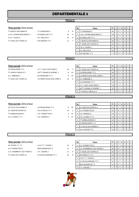### **POULE E**

### **7ème journée** (2ème phase)

- U.S.E. AVOINE-BEAUMONT 3 ES RIDELLOIS TT 4 18 TT JOUE LES TOURS 13 - STE MAURE TT 3 11
- TT MONTS ARTANNES 5 TT CHINONAIS 4 9
	-

|                     |   |                | Rg             | Equipe                | PT                                                                                                                                               | J | v |                | N   D                   | IPIF           |                                       |
|---------------------|---|----------------|----------------|-----------------------|--------------------------------------------------------------------------------------------------------------------------------------------------|---|---|----------------|-------------------------|----------------|---------------------------------------|
| - TT CHINONAIS 4    | 9 | 9              |                | <b>TT CHINONAIS 4</b> | 20                                                                                                                                               |   | 6 |                | $\overline{\mathbf{0}}$ | 0 <sub>0</sub> |                                       |
| - ES RIDELLOIS TT 4 |   | 0              |                |                       | 19                                                                                                                                               |   | 6 |                |                         | $\overline{0}$ | $\Omega$                              |
| - R.C. BALLAN 3     |   | 8              |                |                       | 17                                                                                                                                               |   | 5 | 0              | 2                       |                |                                       |
| - STE MAURE TT 3    |   | 7              | 4              | TT MONTS ARTANNES 5   | 16                                                                                                                                               |   | 4 |                | 2                       | $\overline{0}$ | <b>ι Ω</b>                            |
|                     |   |                | 5 <sup>1</sup> |                       | 12 <sup>2</sup>                                                                                                                                  |   | 2 |                | $\overline{4}$          |                |                                       |
|                     |   |                |                |                       | 11                                                                                                                                               |   | 2 | $\overline{0}$ |                         |                |                                       |
|                     |   |                |                |                       | 10                                                                                                                                               |   |   |                | 5                       | $\overline{0}$ | $\overline{0}$                        |
|                     |   |                |                |                       |                                                                                                                                                  |   |   |                |                         |                |                                       |
|                     |   | 18<br>10<br>11 |                |                       | U.S.E. AVOINE-BEAUMONT 3<br>3 <b>IES RIDELLOIS TT 4</b><br><b>ITT JOUE LES TOURS 13</b><br>6 C.E.S. TOURS 2<br>R.C. BALLAN 3<br>8 STE MAURE TT 3 |   |   |                |                         |                | $0$   0<br>$0$   0<br>$-5$<br>$0$   0 |

### **POULE F**

### **7ème journée** (2ème phase)

- US RENAUDINE TT 5 A.T.T. AZAY-SUR-CHER 2 15 3
- 
- TT PARCAY MESLAY 5 ASTT CHEMILLE S/DEME 1 8 10 A.C. AMBOISE 2 - ES OESIENNE TT 3 8 10
- TT JOUE LES TOURS 14 A.S. MONTLOUIS-SUR-LOIRE 3 13 5

| Rg | Equipe                        | РT | J | ٧ | N | D        | P        | F |
|----|-------------------------------|----|---|---|---|----------|----------|---|
|    | TT JOUE LES TOURS 14          | 20 | 7 | 6 |   | $\Omega$ | 0        | 0 |
| 2  | US RENAUDINE TT 5             | 18 | 7 | 5 |   |          | O        | 0 |
| 3  | A.S MONTLOUIS-SUR-LOIRE 3     | 16 | 7 | 4 |   | 2        | $\Omega$ | 0 |
| 4  | A.C. AMBOISE 2                | 15 | 7 | 4 | 0 | 3        | 0        | 0 |
| 5  | <b>ES OESIENNE TT 3</b>       | 14 | 7 | 3 |   | 3        | 0        | 0 |
| 6  | A.T.T. AZAY-SUR-CHER 2        | 12 | 7 | 2 |   | 4        | 0        | 0 |
| 7  | <b>ASTT CHEMILLE S/DEME 1</b> | 10 | 7 | 1 |   | 5        | 0        | 0 |
| 8  | TT PARCAY MESLAY 5            | 7  |   | ∩ | U |          |          | ŋ |

### **POULE G**

### **7ème journée** (2ème phase)

- A.S. LUYNES T.T 3 U.S. VERNOU 2 6 12
- E.S.VILLE AUX DAMES 3 US RENAUDINE TT 3 8 10 ST AVERTIN SPORTS 4 - US LA RICHE TT 2 TT SEMBLANCEEN 2 - A.S. FONDETTES 6
	-

| 16 | 2  |
|----|----|
| 3  | 15 |

| Rg | Equipe                     | PT |   |                | N        | D | Ρ        |   |
|----|----------------------------|----|---|----------------|----------|---|----------|---|
|    | <b>ST AVERTIN SPORTS 4</b> | 21 | 7 | 7              | 0        | 0 | 0        | Ω |
| 2  | A.S. FONDETTES 6           | 19 | 7 | 6              | 0        | 1 | O        | Ω |
| 3  | U.S. VERNOU 2              | 14 | 7 | 3              | 1        | 3 | $\Omega$ | ŋ |
| 4  | A.S. LUYNES T.T 3          | 13 | 7 | 3              | $\Omega$ | 4 | 0        | ი |
| 5  | TT SEMBLANCEEN 2           | 13 | 7 | 3              | 0        | 4 | 0        |   |
| 6  | US RENAUDINE TT 3          | 11 | 7 | $\overline{2}$ | 0        | 5 | 0        | Ω |
| 7  | E.S. VILLE AUX DAMES 3     | 11 | 7 |                | 2        | 4 | O        | O |
| 8  | US LA RICHE TT 2           | 10 |   |                |          | 5 |          |   |
|    |                            |    |   |                |          |   |          |   |

### **POULE H**

### **7ème journée** (2ème phase)

- 4S TOURS T.T. 17 A.S.P.T.T. TOURS 1 210 A.S. FONDETTES 5 - BEAUJARDIN BCT 5 11 U.S. CHAMBRAY-LES-TOURS 3 - C.P. VEIGNE 2 12 TT JOUE LES TOURS 12 - US NICOLAISIENNE TT 1 40
	- -
		-

|   | Rg | Equipe                    | PT |   | v              | N        | D | P        |   |
|---|----|---------------------------|----|---|----------------|----------|---|----------|---|
| 8 | 1  | A.S. FONDETTES 5          | 21 | 7 | 7              | $\Omega$ | 0 | 0        |   |
|   | 2  | U.S. CHAMBRAY-LES-TOURS 3 | 16 | 7 | 4              | 1        | 2 | 0        | O |
| 6 | 3  | TT JOUE LES TOURS 12      | 16 | 7 | $\overline{4}$ | 1        | 2 | $\Omega$ | O |
| 8 | 4  | 4S TOURS T.T. 17          | 15 | 7 | 4              | $\Omega$ | 3 | 0        |   |
|   | 5  | A.S.P.T.T. TOURS 1        | 13 | 7 | 3              | $\Omega$ | 4 | 0        |   |
|   | 6  | US NICOLAISIENNE TT 1     | 12 | 7 | $\overline{2}$ | 1        | 4 | 0        |   |
|   |    | <b>BEAUJARDIN BCT 5</b>   | 12 | 7 | 2              | 1        | 4 | 0        |   |
|   | 8  | C.P. VEIGNE 2             | 7  |   | $\Omega$       | 0        |   | O        |   |

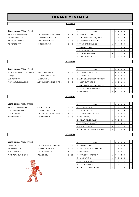### **POULE A**

### **7ème journée** (2ème phase)

- TT MONTS ARTANNES 8 A.T.T. LANGEAIS CINQ MARS 7 2 8
- TT BOUCHARDAIS 5 EP MARIGNY RILLY 2 5 5
- AS VERETZ TT 4 4S TOURS T.T. 20 2 8
- ES RIDELLOIS TT 7 AS SAVONNIERES TT 3 2 2 2 3
	-
	-

|    | Rg | Equipe                      | PT |                | v        | N        | D        | P        | F        |
|----|----|-----------------------------|----|----------------|----------|----------|----------|----------|----------|
| B. | 1  | <b>ES RIDELLOIS TT 7</b>    | 20 | $\overline{7}$ | 6        | 1        | 0        | 0        | $\Omega$ |
| 3  | 2  | A.T.T. LANGEAIS CINQ MARS 7 | 19 | 7              | 5        | 2        | $\Omega$ | 0        | $\Omega$ |
| 5  | 3  | AS SAVONNIERES TT 3         | 16 | 7              | 4        | 1        | 2        | 0        | $\Omega$ |
| B  | 4  | TT MONTS ARTANNES 8         | 15 | $\overline{7}$ | 4        | $\Omega$ | 3        | $\Omega$ | $\Omega$ |
|    | 5  | AS VERETZ TT 4              | 13 | $\overline{7}$ | 3        | $\Omega$ | 4        | $\Omega$ | $\Omega$ |
|    | 6  | 4S TOURS T.T. 20            | 13 | $\overline{7}$ | 3        | $\Omega$ | 4        | $\Omega$ | $\Omega$ |
|    | 7  | TT BOUCHARDAIS 5            | 8  | $\overline{7}$ | $\Omega$ | 1        | 6        | $\Omega$ | $\Omega$ |
|    | 8  | EP MARIGNY RILLY 2          | 7  | 7              | O        |          | 5        | O        |          |
|    |    |                             |    |                |          |          |          |          |          |

### **POULE B**

| 7ème journée (2ème phase)    |                               |   |   | Rg | Equipe                        | PTIJI |                    | <b>V</b> | IN.            | D            |   | PF               |
|------------------------------|-------------------------------|---|---|----|-------------------------------|-------|--------------------|----------|----------------|--------------|---|------------------|
| A.T.T.ST ANTOINE DU ROCHER 3 | - RS ST CYR/LOIRE 8           | 8 | 2 |    | TT PARCAY MESLAY 6            | 18 I  |                    | 6 6      | $\overline{0}$ | $\mathbf{0}$ |   | $01$ 0           |
| Exempt                       | - TT PARCAY MESLAY 6          |   |   |    | 2 LARCAY T.T. 1               | 16 I  |                    | 6 5      |                |              | 0 | $\overline{1}$ 0 |
| U.S. VERNOU 4                | - LARCAY T.T. 1               |   | 9 |    | A.T.T.ST ANTOINE DU ROCHER 3  |       | $13 \mid 6 \mid 3$ |          |                | 2            |   | $0$   $0$        |
| A S MONTLOUIS-S/LOIRE 4      | - A.T.T. LANGEAIS CINQ MARS 8 | 5 | 5 |    | <b>RS ST CYR/LOIRE 8</b>      |       | 6                  |          |                | 3            |   | $0$   $0$        |
|                              |                               |   |   |    | 5 A.T.T. LANGEAIS CINQ MARS 8 | 10 I  | 6                  |          | 2              | 3            |   | $0$   $0$        |
|                              |                               |   |   |    | 6 A.S MONTLOUIS-S/LOIRE 4     |       | $10 \mid 6 \mid$   |          | 2              | 3            |   | $0$   $0$        |
|                              |                               |   |   |    | U.S. VERNOU 4                 | 6     |                    |          | 6 0 0          | 6            |   | $01$ 0           |

### **POULE C**

| Tème journée (2ème phase) |                                |   |   | Rg | Equipe                     | <b>PT</b> | I J I | V I | <b>N</b>       | D | D | F |
|---------------------------|--------------------------------|---|---|----|----------------------------|-----------|-------|-----|----------------|---|---|---|
| TT MONTS ARTANNES 9       | - C.E.S. TOURS 3               | 8 | 2 |    | A.C. AMBOISE 4             | 20        |       | 6   |                |   |   |   |
| C.S. LA MEMBROLLE 4       | - TT PARCAY MESLAY 8           | 9 |   |    | T.T. METTRAY 2             | 20        | 7     | 6   |                |   |   |   |
| U.S. VERNOU 5             | - A.T.T.ST ANTOINE DU ROCHER 2 |   | 3 |    | <b>IT MONTS ARTANNES 9</b> | 17        |       | 5   |                |   |   |   |
| T.T. METTRAY 2            | - A.C. AMBOISE 4               | 5 | 5 |    | U.S. VERNOU 5              | 14        |       |     |                |   |   |   |
|                           |                                |   |   |    | <b>C.S. LA MEMBROLLE 4</b> | 13        |       | 3   |                |   |   |   |
|                           |                                |   |   |    | T PARCAY MESLAY 8          | 11        |       |     | $\overline{2}$ |   |   |   |

### **POULE D**



- 
- 
- 
- 
- **7ème journée** (2ème phase) **Rg Rg Equipe PT** PT J V N D P F LARCAY T.T. 3 - P.P.C. ST MARTIN LE BEAU 1 0 10 1 AS VERETZ TT 3 21 7 7 0 0 0 0 AS VERETZ TT 3  $\begin{array}{ccc} . & . & . \\ . & . & . \end{array}$  ST AVERTIN SPORTS 7  $\begin{array}{ccc} . & . & . \\ . & . & . \end{array}$  2 P.P.C. ST MARTIN LE BEAU 1  $\begin{array}{ccc} . & . & . \\ . & . & . \end{array}$ A.P. ST SENOCH 2 - A.S.T.T. ESVRES 5 7 3 3 U.S. VERNOU 3 17 7 5 0 2 0 0 A.T.T. AZAY-SUR-CHER 4 - U.S. VERNOU 3 0 10 4 ST AVERTIN SPORTS 7 15 7 4 0 3 0 0 5 LARCAY T.T. 3 11 7 2 0 5 0 0 6 A.P. ST SENOCH 2 10 7 1 1 5 0 0 7 A.S.T.T. ESVRES 5 10 7 1 1 5 0 0 8 A.T.T. AZAY-SUR-CHER 4 9 7 0 2 5 0

7 C.E.S. TOURS 3 9 7 1 1 4 0 8 A.T.T.ST ANTOINE DU ROCHER 2 6 7 0 0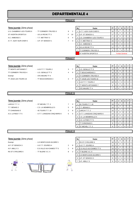### **POULE E**

| 7ème journée (2ème phase)          |                                                 |                |                     | Rg             | <b>Equipe</b>                               | PT             | $J \mid$       | $\mathsf{v}$        | $\mathsf{N}$           | D                | P                        | $\mathsf{F}$                    |
|------------------------------------|-------------------------------------------------|----------------|---------------------|----------------|---------------------------------------------|----------------|----------------|---------------------|------------------------|------------------|--------------------------|---------------------------------|
| U.S. CHAMBRAY-LES-TOURS 6          | - TT CORMERY-TRUYES 3                           | 9              | $\mathbf{1}$        |                | 1 A.T.T. AZAY-SUR-CHER 5                    | 20             | $\overline{7}$ | 6                   |                        | $\Omega$         | $\Omega$                 | $\mathbf 0$                     |
| ST AVERTIN SPORTS 8                | - US LA RICHE TT 3                              | F              | 10                  | 2              | A.P. ST SENOCH 1                            | 17             | $\overline{7}$ | 5                   | $\mathbf 0$            | $\overline{2}$   | $\mathbf 0$              | $\mathbf 0$                     |
| A.C. AMBOISE 5                     | - T.T. METTRAY 3                                | 6              | $\overline{4}$      | 3              | U.S. CHAMBRAY-LES-TOURS 6                   | 17             | $\overline{7}$ | $\overline{4}$      | $\overline{2}$         | $\mathbf{1}$     | $\mathbf 0$              | $\mathsf 0$                     |
| A.T.T. AZAY-SUR-CHER 5             | - A.P. ST SENOCH 1                              | $\overline{7}$ | 3                   |                | 4 T.T. METTRAY 3                            | 15             | $\overline{7}$ | $\overline{4}$      | $\mathbf 0$            | $\overline{3}$   | $\mathbf 0$              | $\overline{0}$                  |
|                                    |                                                 |                |                     |                | 5 A.C. AMBOISE 5                            | 13             | $\overline{7}$ | 3                   | $\mathbf 0$            | $\overline{4}$   | $\mathbf 0$              | $\mathbf 0$                     |
|                                    |                                                 |                |                     |                | 6 US LA RICHE TT 3                          | 12             | $\overline{7}$ | $\boldsymbol{2}$    | $\mathbf{1}$           | 4                | 0                        | $\mathbf 0$                     |
|                                    |                                                 |                |                     | $\overline{7}$ | <b>TT CORMERY-TRUYES 3</b>                  | 8              | $\overline{7}$ | $\mathbf{1}$        | $\mathbf 0$            | 5                | $\mathbf 0$              | $\mathbf{1}$                    |
|                                    |                                                 |                |                     |                | ST AVERTIN SPORTS 8                         |                |                |                     | <b>Forfait Général</b> |                  |                          |                                 |
|                                    |                                                 | <b>POULE F</b> |                     |                |                                             |                |                |                     |                        |                  |                          |                                 |
|                                    |                                                 |                |                     |                |                                             |                |                |                     |                        |                  |                          |                                 |
|                                    |                                                 |                |                     |                |                                             |                |                |                     |                        |                  |                          |                                 |
| 7ème journée (2ème phase)          |                                                 |                |                     | Rg             | Equipe                                      | PT             | J              | V                   | N                      | D                | P                        | F.                              |
| TT MONTS ARTANNES 7                | - A.S.P.T.T. TOURS 2                            | 3              | $\overline{7}$      | $\mathbf{1}$   | U.S. GENILLE TT 3                           | 18             | 6              | 6                   | $\Omega$               | $\Omega$         | $\Omega$                 | $\Omega$                        |
| TT CORMERY-TRUYES 4                | - U.S. GENILLE TT 3                             | 4              | 6                   | 2              | <b>TT BOUCHARDAIS 3</b>                     | 16             | $\,6\,$        | $\sqrt{5}$          | $\mathbf 0$            | $\mathbf{1}$     | $\mathbf 0$              | $\mathbf 0$                     |
| Exempt                             | - STE MAURE TT 4                                |                |                     | 3              | <b>TT CORMERY-TRUYES 4</b>                  | 13             | 6              | 3                   | $\mathbf{1}$           | $\overline{2}$   | $\mathbf 0$              | $\mathsf 0$                     |
| TT JOUE LES TOURS 16               | - TT BOUCHARDAIS 3                              | 3              | $\overline{7}$      | 4              | <b>TT JOUE LES TOURS 16</b>                 | 12             | 6              | $\sqrt{2}$          | $\overline{2}$         | $\overline{2}$   | $\mathbf 0$              | $\mathbf 0$                     |
|                                    |                                                 |                |                     |                | 5 A.S.P.T.T. TOURS 2                        | 10             | 6              | $\mathbf{1}$        | $\overline{2}$         | 3                | 0                        | $\mathbf 0$                     |
|                                    |                                                 |                |                     | 6              | <b>TT MONTS ARTANNES 7</b>                  | 8              | 6              | $\mathbf{1}$        | $\mathbf 0$            | 5                | 0                        | $\mathbf 0$                     |
|                                    |                                                 |                |                     | $\overline{7}$ | STE MAURE TT 4                              | $\overline{7}$ | 6              | $\mathbf 0$         | $\mathbf{1}$           | 5                | $\mathbf 0$              | $\mathbf{0}$                    |
|                                    |                                                 | <b>POULE G</b> |                     |                |                                             |                |                |                     |                        |                  |                          |                                 |
|                                    |                                                 |                |                     |                |                                             |                |                |                     |                        |                  |                          |                                 |
|                                    |                                                 |                |                     |                |                                             |                |                |                     |                        |                  |                          |                                 |
| 7ème journée (2ème phase)          |                                                 |                |                     | Rg             | <b>Equipe</b>                               | PT             | $\mathsf{J}$   | $\mathsf{V}$        | N                      | D                | $P$ $F$                  |                                 |
| LARCAY T.T. 2                      | - ST MICHEL T.T. 2                              | 7              | 3                   | $\mathbf{1}$   | 4S TOURS T.T. 19                            | 19             | $\overline{7}$ | 6                   | $\mathbf 0$            | $\mathbf{1}$     | $\mathbf 0$              | $\mathbf 0$                     |
| T.T. BENAIS 2                      | - C.S. LA MEMBROLLE 5                           | 5              | 5                   | 2              | T.T. BENAIS 2                               | 18             | $\overline{7}$ | 5                   | $\mathbf{1}$           | 1                | $\mathbf 0$              | $\mathbf 0$                     |
| <b>TT CHINONAIS 5</b>              | - 4S TOURS T.T. 19                              | 2              | 8                   | 3              | LARCAY T.T. 2                               | 16             | $\overline{7}$ | $\overline{4}$      | $\mathbf{1}$           | $\overline{2}$   | $\mathbf 0$              | $\mathbf 0$                     |
| A.S. LUYNES T.T 5                  | - A.T.T. LANGEAIS CINQ MARS 6                   | 5              | 5                   | $\overline{4}$ | A.T.T. LANGEAIS CINQ MARS 6                 | 14             | $\overline{7}$ | 3                   | $\mathbf{1}$           | 3                | $\mathbf 0$              | $\mathbf 0$                     |
|                                    |                                                 |                |                     |                | 5 C.S. LA MEMBROLLE 5                       | 13             | $\overline{7}$ | $\overline{2}$      | $\overline{2}$         | 3                | $\mathbf 0$              | $\mathbf 0$                     |
|                                    |                                                 |                |                     | 6              | A.S. LUYNES T.T 5                           | 13             | $\overline{7}$ | $\overline{2}$      | $\overline{2}$         | 3                | $\mathbf 0$              | $\mathbf 0$                     |
|                                    |                                                 |                |                     | 7              | <b>TT CHINONAIS 5</b>                       | 9              | $\overline{7}$ | $\overline{2}$      | $\mathbf 0$            | 3                | $\mathbf 0$              | $\overline{2}$                  |
|                                    |                                                 |                |                     |                | 8 ST MICHEL T.T. 2                          | 8              | $\overline{7}$ | $\mathbf 0$         |                        | 6                | $\mathbf 0$              | $\mathbf 0$                     |
|                                    |                                                 | POULE H        |                     |                |                                             |                |                |                     |                        |                  |                          |                                 |
|                                    |                                                 |                |                     |                |                                             |                |                |                     |                        |                  |                          |                                 |
|                                    |                                                 |                |                     | Rg             | Equipe                                      | PT             | J              | V                   | N                      | D                | P                        | F                               |
|                                    |                                                 |                |                     |                |                                             |                |                |                     |                        |                  |                          |                                 |
| 7ème journée (2ème phase)          |                                                 |                |                     |                |                                             |                |                |                     | $\Omega$               | $\Omega$         |                          |                                 |
| Exempt                             | - A.S MONTLOUIS-S/LOIRE 5                       |                |                     | 1              | RS ST CYR/LOIRE 6                           | 18             | 6              | 6                   |                        |                  | 0                        | $\mathbf 0$                     |
| A.P. ST SENOCH 3                   | - A.S.T.T. ESVRES 4                             | 2              | 8                   | 2              | A.S.T.T. ESVRES 4                           | 15             | 6              | $\overline{4}$      | 1<br>1                 | 1<br>$\mathbf 1$ | 0                        | $\mathbf 0$                     |
| A.P. ABILLY 3<br>RS ST CYR/LOIRE 6 | - E.S.VILLE AUX DAMES TT 5<br>- TT BLERE V.C. 5 | 2<br>8         | 8<br>$\overline{c}$ | 3<br>4         | E.S.VILLE AUX DAMES TT 5<br>TT BLERE V.C. 5 | 15<br>11       | 6<br>6         | 4<br>$\overline{2}$ |                        | 3                | $\pmb{0}$<br>$\mathbf 0$ | $\mathbf 0$<br>$\boldsymbol{0}$ |





Ś

| Rg | Equipe                   | PT |   | v              | N | D | Р |  |
|----|--------------------------|----|---|----------------|---|---|---|--|
|    | <b>RS ST CYR/LOIRE 6</b> | 18 | 6 | 6              | O | ŋ | O |  |
| 2  | A.S.T.T. ESVRES 4        | 15 | 6 | 4              |   |   |   |  |
| 3  | E.S.VILLE AUX DAMES TT 5 | 15 | 6 | 4              |   |   |   |  |
| 4  | TT BLERE V.C. 5          | 11 | 6 | $\overline{2}$ |   | 3 | O |  |
| 5  | A.S MONTLOUIS-S/LOIRE 5  | 10 | 6 |                | 2 | 3 | ŋ |  |
| 6  | A.P. ST SENOCH 3         | 9  | 6 |                |   |   |   |  |
|    | A.P. ABILLY 3            | 6  | 6 | O              |   | 6 |   |  |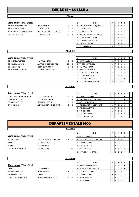### **POULE I**

### **7ème journée** (2ème phase)

TT MONTS ARTANNES 6 - R.C. BALLAN 4 19 19 7 ES OESIENNE TT 5 - ES AMBILLOU 2 2

TT PARCAY MESLAY 7 - LARCAY T.T. 4 2 A.T.T. LANGEAIS CINQ MARS 4 - U.S. CHAMBRAY-LES-TOURS 4 6

|   | Rg | Equipe                      | РT | J | ν              | N              | D | P        | F        |
|---|----|-----------------------------|----|---|----------------|----------------|---|----------|----------|
| 3 |    | A.T.T. LANGEAIS CINQ MARS 4 | 19 | 7 | 6              | $\Omega$       | 1 | $\Omega$ | $\Omega$ |
| 8 | 2  | LARCAY T.T. 4               | 18 | 7 | 5              | 1              | 1 | $\Omega$ | $\Omega$ |
| 4 | 3  | <b>ES AMBILLOU 2</b>        | 17 | 7 | 4              | $\overline{2}$ | 1 | 0        | $\Omega$ |
| 8 | 4  | U.S. CHAMBRAY-LES-TOURS 4   | 15 | 7 | 4              | $\Omega$       | 3 | $\Omega$ | $\Omega$ |
|   | 5  | TT MONTS ARTANNES 6         | 13 | 7 | 3              | $\Omega$       | 4 | 0        | 0        |
|   | 6  | TT PARCAY MESLAY 7          | 11 | 7 | $\overline{2}$ | $\Omega$       | 5 | $\Omega$ | $\Omega$ |
|   | 7  | <b>ES OESIENNE TT 5</b>     | 11 | 7 | $\overline{2}$ | $\Omega$       | 5 | $\Omega$ | $\Omega$ |
|   | 8  | R.C. BALLAN 4               | 7  |   | $\Omega$       | 1              | 5 | 0        | 1        |

### **POULE J**

- -
- 
- **7ème journée** (2ème phase) **Rg Rg** Equipe PT J V N D P F TT CASTELVALERIE 2 - P.L. PAUL BERT 3 2 8 1 ES AMBILLOU 1  $\begin{bmatrix} 2 & 1 & 2 & 3 \end{bmatrix}$ TT BOUCHARDAIS 2 - ASTT CHEMILLE S/DEME 2 10 0 2 TT BOUCHARDAIS 2 18 7 5 1 1 0 0 ES AMBILLOU 1 - RS ST CYR/LOIRE 7 8 2 3 P.L. PAUL BERT 3 18 7 5 1 1 0 0 TT JOUE LES TOURS 15 - TT PARCAY MESLAY 9 6 4 4 RS ST CYR/LOIRE 7 14 7 3 1 3 0 0 0 5 TT JOUE LES TOURS 15 13 7 2 2 3 0 0 6 TT CASTELVALERIE 2 11 7 1 2 4 0 0 7 TT PARCAY MESLAY 9 10 7 1 1 5 0 0 8 ASTT CHEMILLE S/DEME 2  $\vert 7 \vert 7 \vert 0 \vert 0 \vert 7 \vert 0 \vert 0$

### **POULE K**

### **7ème journée** (2ème phase)

U.S. CHAMBRAY-LES-TOURS 5 - A.S. LUYNES T.T 4 3 7 BEAUJARDIN BCT 6 - TT BOUCHARDAIS 4 6 4 2 A.T.T. LANGEAIS CINQ MARS 5 20 7 6 1 0 0 0 ES RIDELLOIS TT 6 <sup>-</sup> U.S. GENILLE TT 4 2 T.T. BENAIS 3 - A.T.T. LANGEAIS CINQ MARS 5 2 8

- -
	-

| Rg | Equipe                      | РT |   | ν | N | D | Р |   |
|----|-----------------------------|----|---|---|---|---|---|---|
| 1  | <b>ES RIDELLOIS TT 6</b>    | 20 | 7 | 6 |   | Ω | 0 |   |
| 2  | A.T.T. LANGEAIS CINQ MARS 5 | 20 | 7 | 6 |   | Ω | O |   |
| 3  | A.S. LUYNES T.T 4           | 16 | 7 | 4 |   | 2 | 0 |   |
| 4  | U.S. CHAMBRAY-LES-TOURS 5   | 14 | 7 | 3 |   | 3 | 0 |   |
| 5  | U.S. GENILLE TT 4           | 14 | 7 | 3 |   | 3 | O |   |
| 6  | T.T. BENAIS 3               | 12 | 7 | 2 |   | 4 | O | 0 |
| 7  | <b>BEAUJARDIN BCT 6</b>     | 9  | 7 |   | ი | 6 | 0 | 0 |
| 8  | TT BOUCHARDAIS 4            | 7  |   |   |   |   |   |   |

# **DEPARTEMENTALE 1600**

|                           |                              | <b>POULE A</b>      |    |                            |                 |                |          |          |                |            |                |
|---------------------------|------------------------------|---------------------|----|----------------------------|-----------------|----------------|----------|----------|----------------|------------|----------------|
|                           |                              |                     | Rg | Equipe                     | PT I            |                | <b>V</b> | <b>N</b> | D              |            | PIF            |
| 7ème journée (2ème phase) |                              |                     |    | A.C. AMBOISE 6             | 14              | -5 F           |          |          |                |            | 0 <sup>1</sup> |
| T.T. METTRAY 4            | - P.P.C. ST MARTIN LE BEAU 2 | 6<br>$\overline{4}$ |    | P.P.C. ST MARTIN LE BEAU 2 | 13 <sup>1</sup> |                | 514      | 0        |                |            | 0 <sup>1</sup> |
| Exempt                    | - A.C. AMBOISE 6             |                     |    | 3 AS VERETZ TT 6           | 10              | 5              |          | 3        |                |            | 0 <sup>1</sup> |
| Exempt                    | - C.P. VEIGNE 3              |                     |    | <b>IT.T. METTRAY 4</b>     | 10 <sup>1</sup> | 5 <sub>1</sub> |          |          | 2              |            | 0 <sup>1</sup> |
| ST AVERTIN SPORTS 9       | - AS VERETZ TT 6             | 10<br>0             |    | 5 C.P. VEIGNE 3            | 8               | 5              |          |          | 3              |            | 0 <sup>1</sup> |
|                           |                              |                     |    | 6 ST AVERTIN SPORTS 9      | 4               | 5 <sub>1</sub> |          | 0        | $\overline{4}$ | $^{\circ}$ |                |

| <b>POULE B</b>            |                         |   |    |    |                              |                 |                |              |             |   |     |                  |  |
|---------------------------|-------------------------|---|----|----|------------------------------|-----------------|----------------|--------------|-------------|---|-----|------------------|--|
|                           |                         |   |    | Rg | Equipe                       | PT              |                | V            | N           |   | PIF |                  |  |
| 7ème journée (2ème phase) |                         |   |    |    | <b>US NICOLAISIENNE TT 2</b> | 14              | 5 <sup>1</sup> | 4            |             | U |     | 1 O              |  |
| Exempt                    | - R.C. BALLAN 5         |   |    |    | LANGEAIS-CINQ MARS 9         | 13 <sup>1</sup> | 51             | l 3          | 2           | 0 |     | $\overline{1}$ 0 |  |
| ES RIDELLOIS TT 8         | - US LA RICHE TT 4      |   | 3  |    | <b>IES RIDELLOIS TT 8</b>    |                 | 5 <sup>1</sup> | $\mathbf{3}$ | $\mathbf 0$ |   |     |                  |  |
| AS VERETZ TT 5            | - Exempt                |   |    | 4  | AS VERETZ TT 5               | 8               | 5              |              |             | 3 |     | $\overline{0}$   |  |
| LANGEAIS-CINQ MARS 9      | - US NICOLAISIENNE TT 2 | 5 | -5 | 5  | US LA RICHE TT 4             | 8               | 5 <sup>1</sup> |              |             | 3 |     | $\overline{1}$ 0 |  |
|                           |                         |   |    |    | 6 R.C. BALLAN 5              | 6               | 5 0            |              |             | 4 |     | $\overline{0}$   |  |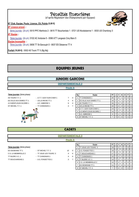# Pénalités financières

(d'après Règlement des Championnats par Equipes)

### **N° Club, Equipe, Poule, Licence, Clt, Points (5,00 €)**

*N° Licence erroné :* 

5ème journée (2è ph): 0015 PPC Martinois 2 - 0615 TT Bouchardais 1 - 0721 US Nicolaisienne 1 - 0033 US Chambray 3 *N° Equipe :* 

7ème journée (2è ph): 0102 AC Amboise 5 - 0596 ATT Langeais Cinq Mars 5

*Equipe Incomplète :* 

7ème journée (2è ph): 0656 TT St-Genouph 5 - 0637 ES Oésienne TT 4

**Forfait (10,00 €)** : 0002 4S Tours TT 5 (Bg 6èj)

# **EQUIPES JEUNES**

# **JUNIORS GARCONS**

### **DEPARTEMENTALE 2**

**Poule A**

### **7ème journée** (2ème phase)

4S TOURS T.T. 1 - A.T.T. AZAY-SUR-CHER 1 7 ES VILLE AUX DAMES TT 1 - US LA RICHE TT 1 4 A.S MONTLOUIS-S/LOIRE 1 - A.C. AMBOISE 1 6 ST MICHEL T.T. 1 - TT CHINONAIS 1 3



|   | Rg | Equipe                  | PT |   | ν | N        | D              | Р | F |
|---|----|-------------------------|----|---|---|----------|----------------|---|---|
| 3 |    | <b>TT CHINONAIS 1</b>   | 20 | 7 | 6 | 1        | 0              | 0 |   |
| 6 | 2  | ES VILLE AUX DAMES TT 1 | 16 | 7 | 4 | 1        | 2              | 0 | O |
| 4 | 3  | 4S TOURS T.T. 1         | 16 | 7 | 5 | $\Omega$ | 1              | 0 |   |
|   | 4  | US LA RICHE TT 1        | 15 | 7 | 3 | 2        | 2              | 0 | O |
|   | 5  | A.T.T. AZAY-SUR-CHER 1  | 14 | 7 | 3 | 1        | 3              | 0 | O |
|   | 5  | A.S MONTLOUIS-S/LOIRE 1 | 14 | 7 | 2 | 3        | $\overline{2}$ | 0 |   |
|   |    | A.C. AMBOISE 1          | 8  | 7 | 1 | $\Omega$ | 5              | 0 |   |
|   | 8  | ST MICHEL T.T. 1        |    |   | 0 | 0        |                |   |   |

### **CADETS**

### **DEPARTEMENTALE 3**

### **Poule**

|                           |                       |                |   | ĸg | Equipe                      | PL. |   | N I |  |     |
|---------------------------|-----------------------|----------------|---|----|-----------------------------|-----|---|-----|--|-----|
| 7ème journée (2ème phase) |                       |                |   |    | <b>ITT JOUE LES TOURS 3</b> | 18  | 5 |     |  |     |
| ES OESIENNE TT 1          | - ST MICHEL T.T. 1    | 10             | 0 |    | A.S. FONDETTES 1            | 18  |   |     |  | l 0 |
| C.S. LA MEMBROLLE 2       | - TT JOUE LES TOURS 3 | $\overline{4}$ | 6 |    | <b>BOUCHARDAIS1</b>         | 17  | 5 |     |  | l 0 |
| TT BLERE V.C. 1           | - TT CHINONAIS 1      | 4              | 6 |    | <b>TT CHINONAIS 1</b>       | 15  |   |     |  |     |
| <b>TT BOUCHARDAIS 1</b>   | - A.S. FONDETTES 1    | 3              |   |    | TT BLERE V.C. 1             | 14  | 3 |     |  | l 0 |
|                           |                       |                |   |    | C.S. LA MEMBROLLE 2         | 12  | າ |     |  | - 0 |
|                           |                       |                |   |    | <b>IES OESIENNE TT 1</b>    |     |   |     |  | l 0 |

| <u>م:</u>      |    |                         |    |   |                |          |   |          |          |
|----------------|----|-------------------------|----|---|----------------|----------|---|----------|----------|
|                |    |                         |    |   |                |          |   |          |          |
|                | Rg | Equipe                  | РT | J | ν              | N        | D | P        | F        |
|                | 1  | TT JOUE LES TOURS 3     | 18 | 7 | 5              | 1        | 1 | $\Omega$ | $\Omega$ |
| $\Omega$       | 2  | A.S. FONDETTES 1        | 18 | 7 | 4              | 3        | 0 | 0        | $\Omega$ |
| 6              | 3  | <b>TT BOUCHARDAIS 1</b> | 17 | 7 | 5              | $\Omega$ | 2 | $\Omega$ | $\Omega$ |
| 6              | 4  | TT CHINONAIS 1          | 15 | 7 | 4              | $\Omega$ | 3 | 0        | $\Omega$ |
| $\overline{7}$ | 5  | TT BLERE V.C. 1         | 14 | 7 | 3              | 1        | 3 | 0        | 0        |
|                | 6  | C.S. LA MEMBROLLE 2     | 12 | 7 | $\overline{2}$ | 1        | 4 | $\Omega$ | $\Omega$ |
|                | 7  | ES OESIENNE TT 1        | 11 | 7 | 2              | $\Omega$ | 5 | 0        | $\Omega$ |
|                | 8  | ST MICHEL T.T. 1        | 7  | 7 | O              | $\Omega$ | 7 | $\Omega$ | $\Omega$ |
|                |    |                         |    |   |                |          |   |          |          |

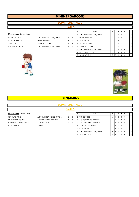# **MINIMES GARCONS**

### **DEPARTEMENTALE 3**

### **Poule A**

### **7ème journée** (2ème phase)

P.L. PAUL BERT 1 - US LA RICHE TT 1 3 LARCAY T.T. 2 **ES RIDELLOIS TT 2** 2

- 4S TOURS T.T. 3 A.T.T. LANGEAIS CINQ MARS 1 6
	-
	-
- A.S. FONDETTES 2 A.T.T. LANGEAIS CINQ MARS 2 3 7

|                | Rg | Equipe                      | РT | J | ٧              | N              | D | Ρ        | F        |
|----------------|----|-----------------------------|----|---|----------------|----------------|---|----------|----------|
|                | 1  | A.T.T. LANGEAIS CINQ MARS 1 | 19 | 7 | 6              | 0              | 1 | $\Omega$ | $\Omega$ |
| $\overline{4}$ | 2  | US LA RICHE TT 1            | 19 | 7 | 6              | $\Omega$       | 1 | $\Omega$ | $\Omega$ |
|                | 3  | 4S TOURS T.T. 3             | 15 | 7 | 4              | 1              | 1 | $\Omega$ | 1        |
| 8              | 4  | P.L. PAUL BERT 1            | 14 | 7 | 3              | 1              | 3 | $\Omega$ | $\Omega$ |
| 3              | 5  | <b>ES RIDELLOIS TT 2</b>    | 13 | 7 | $\overline{2}$ | $\overline{2}$ | 3 | $\Omega$ | $\Omega$ |
|                | 6  | A.T.T. LANGEAIS CINQ MARS 2 | 10 | 7 | $\overline{2}$ | $\Omega$       | 4 | $\Omega$ | 1        |
|                | 7  | A.S. FONDETTES 2            | 9  | 7 | $\overline{2}$ | $\Omega$       | 3 | 0        | 2        |
|                | 8  | LARCAY T.T. 2               | 9  | 7 | 1              | $\Omega$       | 6 | O        | $\Omega$ |
|                |    |                             |    |   |                |                |   |          |          |





### **BENJAMINS**

|                           | DEPARTEMENTALE 3              |                |          |    |                               |           |              |                |                |   |                |                |  |
|---------------------------|-------------------------------|----------------|----------|----|-------------------------------|-----------|--------------|----------------|----------------|---|----------------|----------------|--|
| Poule A                   |                               |                |          |    |                               |           |              |                |                |   |                |                |  |
| 7ème journée (2ème phase) |                               |                |          | Rg | Equipe                        | <b>PT</b> |              | v              | N              | D | PF             |                |  |
| 4S TOURS T.T. 5           | - A.T.T. LANGEAIS CINQ MARS 1 | 5 <sup>5</sup> | $\Omega$ |    | T.T. BENAIS 2                 | 18        | 6            | - 6            | 0              | 0 |                | $\overline{0}$ |  |
| TT JOUE LES TOURS 1       | - ASTT CHEMILLE S/DEME 1      | 4              |          |    | A.S MONTLOUIS-S/LOIRE 2       | 14        | <sup>6</sup> | $\overline{4}$ | $\mathbf 0$    | 2 |                | 0 <sup>1</sup> |  |
| A.S MONTLOUIS-S/LOIRE 2   | - LARCAY T.T. 2               | 5              | $\Omega$ | 3  | <b>ASTT CHEMILLE S/DEME 1</b> | 14        | 6            | $\overline{4}$ | $\Omega$       | 2 |                | $\overline{1}$ |  |
| T.T. BENAIS 2             | - Exempt                      |                |          | 4  | <b>ITT JOUE LES TOURS 1</b>   | 12        | 6            | -3             | 0              | 3 |                | $\overline{0}$ |  |
|                           |                               |                |          |    | 5 4S TOURS T.T. 5             | 10        | 6            | -3             | 0              |   |                | $\overline{2}$ |  |
|                           |                               |                |          |    | 6 A.T.T. LANGEAIS CINQ MARS 1 | 8         | 6            |                | $\mathbf{0}$   | 5 |                | 0 <sup>0</sup> |  |
|                           |                               |                |          |    | 7 LARCAY T.T. 2               | 6         |              | 60             | $\overline{0}$ | 6 | 0 <sup>0</sup> |                |  |